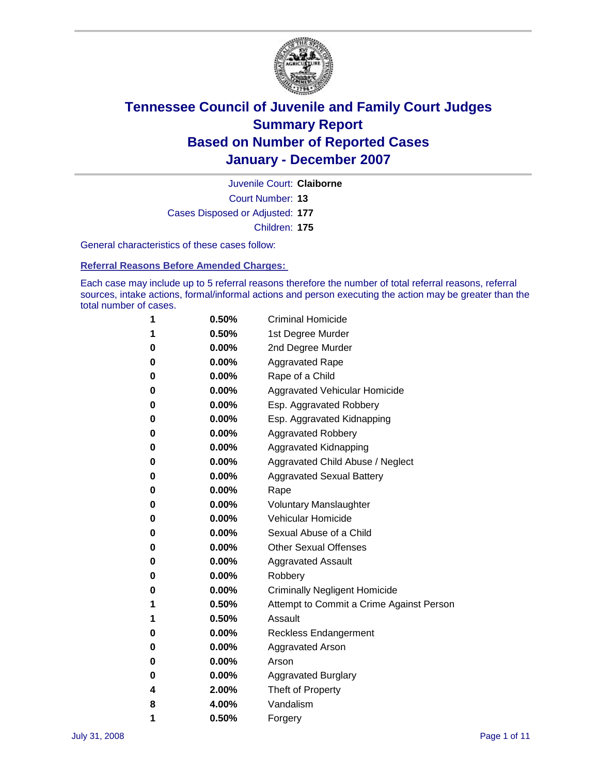

Court Number: **13** Juvenile Court: **Claiborne** Cases Disposed or Adjusted: **177** Children: **175**

General characteristics of these cases follow:

**Referral Reasons Before Amended Charges:** 

Each case may include up to 5 referral reasons therefore the number of total referral reasons, referral sources, intake actions, formal/informal actions and person executing the action may be greater than the total number of cases.

| 1 | 0.50%    | <b>Criminal Homicide</b>                 |
|---|----------|------------------------------------------|
| 1 | 0.50%    | 1st Degree Murder                        |
| 0 | $0.00\%$ | 2nd Degree Murder                        |
| 0 | $0.00\%$ | <b>Aggravated Rape</b>                   |
| 0 | $0.00\%$ | Rape of a Child                          |
| 0 | $0.00\%$ | Aggravated Vehicular Homicide            |
| 0 | $0.00\%$ | Esp. Aggravated Robbery                  |
| 0 | 0.00%    | Esp. Aggravated Kidnapping               |
| 0 | $0.00\%$ | <b>Aggravated Robbery</b>                |
| 0 | $0.00\%$ | Aggravated Kidnapping                    |
| 0 | 0.00%    | Aggravated Child Abuse / Neglect         |
| 0 | 0.00%    | <b>Aggravated Sexual Battery</b>         |
| 0 | 0.00%    | Rape                                     |
| 0 | $0.00\%$ | <b>Voluntary Manslaughter</b>            |
| 0 | $0.00\%$ | Vehicular Homicide                       |
| 0 | 0.00%    | Sexual Abuse of a Child                  |
| 0 | $0.00\%$ | <b>Other Sexual Offenses</b>             |
| 0 | $0.00\%$ | <b>Aggravated Assault</b>                |
| 0 | 0.00%    | Robbery                                  |
| 0 | $0.00\%$ | <b>Criminally Negligent Homicide</b>     |
| 1 | 0.50%    | Attempt to Commit a Crime Against Person |
| 1 | 0.50%    | Assault                                  |
| 0 | $0.00\%$ | <b>Reckless Endangerment</b>             |
| 0 | $0.00\%$ | Aggravated Arson                         |
| 0 | $0.00\%$ | Arson                                    |
| 0 | $0.00\%$ | <b>Aggravated Burglary</b>               |
| 4 | 2.00%    | Theft of Property                        |
| 8 | 4.00%    | Vandalism                                |
| 1 | 0.50%    | Forgery                                  |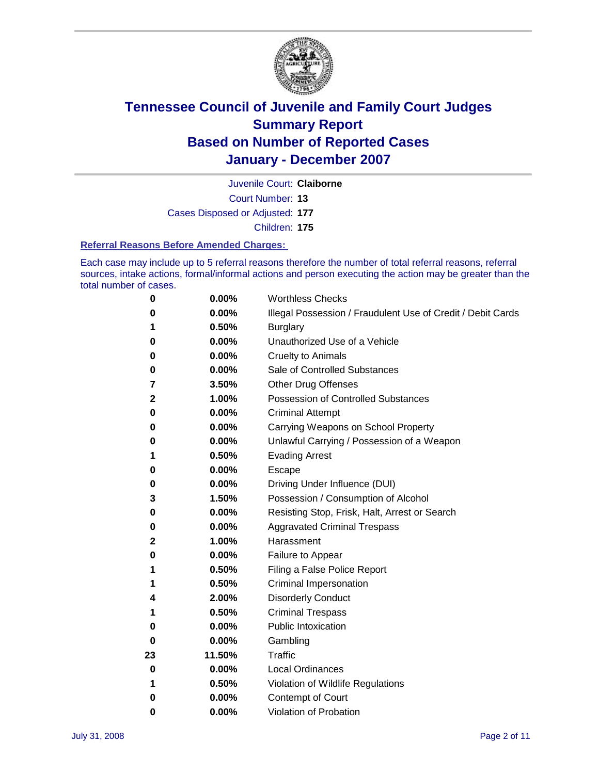

Court Number: **13** Juvenile Court: **Claiborne** Cases Disposed or Adjusted: **177**

Children: **175**

#### **Referral Reasons Before Amended Charges:**

Each case may include up to 5 referral reasons therefore the number of total referral reasons, referral sources, intake actions, formal/informal actions and person executing the action may be greater than the total number of cases.

| 0  | 0.00%    | <b>Worthless Checks</b>                                     |
|----|----------|-------------------------------------------------------------|
| 0  | 0.00%    | Illegal Possession / Fraudulent Use of Credit / Debit Cards |
| 1  | 0.50%    | <b>Burglary</b>                                             |
| 0  | $0.00\%$ | Unauthorized Use of a Vehicle                               |
| 0  | 0.00%    | <b>Cruelty to Animals</b>                                   |
| 0  | $0.00\%$ | Sale of Controlled Substances                               |
| 7  | 3.50%    | <b>Other Drug Offenses</b>                                  |
| 2  | 1.00%    | Possession of Controlled Substances                         |
| 0  | 0.00%    | <b>Criminal Attempt</b>                                     |
| 0  | 0.00%    | Carrying Weapons on School Property                         |
| 0  | 0.00%    | Unlawful Carrying / Possession of a Weapon                  |
| 1  | 0.50%    | <b>Evading Arrest</b>                                       |
| 0  | 0.00%    | Escape                                                      |
| 0  | 0.00%    | Driving Under Influence (DUI)                               |
| 3  | 1.50%    | Possession / Consumption of Alcohol                         |
| 0  | 0.00%    | Resisting Stop, Frisk, Halt, Arrest or Search               |
| 0  | $0.00\%$ | <b>Aggravated Criminal Trespass</b>                         |
| 2  | 1.00%    | Harassment                                                  |
| 0  | 0.00%    | Failure to Appear                                           |
| 1  | 0.50%    | Filing a False Police Report                                |
| 1  | 0.50%    | Criminal Impersonation                                      |
| 4  | 2.00%    | <b>Disorderly Conduct</b>                                   |
| 1  | 0.50%    | <b>Criminal Trespass</b>                                    |
| 0  | 0.00%    | <b>Public Intoxication</b>                                  |
| 0  | 0.00%    | Gambling                                                    |
| 23 | 11.50%   | <b>Traffic</b>                                              |
| 0  | 0.00%    | <b>Local Ordinances</b>                                     |
| 1  | 0.50%    | Violation of Wildlife Regulations                           |
| 0  | 0.00%    | Contempt of Court                                           |
| 0  | 0.00%    | Violation of Probation                                      |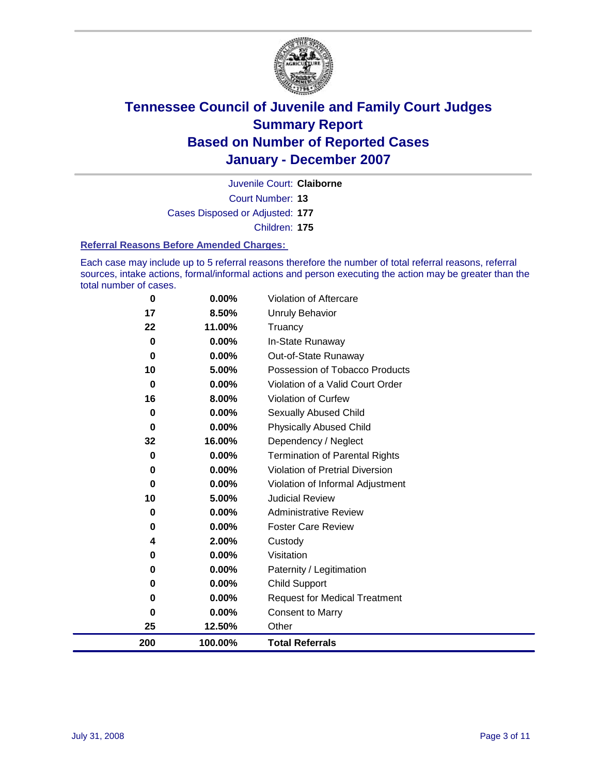

Court Number: **13** Juvenile Court: **Claiborne** Cases Disposed or Adjusted: **177** Children: **175**

#### **Referral Reasons Before Amended Charges:**

Each case may include up to 5 referral reasons therefore the number of total referral reasons, referral sources, intake actions, formal/informal actions and person executing the action may be greater than the total number of cases.

| $\bf{0}$ | 0.00%   | Violation of Aftercare                 |
|----------|---------|----------------------------------------|
| 17       | 8.50%   | Unruly Behavior                        |
| 22       | 11.00%  | Truancy                                |
| $\bf{0}$ | 0.00%   | In-State Runaway                       |
| 0        | 0.00%   | Out-of-State Runaway                   |
| 10       | 5.00%   | Possession of Tobacco Products         |
| $\bf{0}$ | 0.00%   | Violation of a Valid Court Order       |
| 16       | 8.00%   | Violation of Curfew                    |
| 0        | 0.00%   | <b>Sexually Abused Child</b>           |
| $\bf{0}$ | 0.00%   | <b>Physically Abused Child</b>         |
| 32       | 16.00%  | Dependency / Neglect                   |
| 0        | 0.00%   | <b>Termination of Parental Rights</b>  |
| 0        | 0.00%   | <b>Violation of Pretrial Diversion</b> |
| 0        | 0.00%   | Violation of Informal Adjustment       |
| 10       | 5.00%   | <b>Judicial Review</b>                 |
| 0        | 0.00%   | <b>Administrative Review</b>           |
| 0        | 0.00%   | <b>Foster Care Review</b>              |
| 4        | 2.00%   | Custody                                |
| 0        | 0.00%   | Visitation                             |
| 0        | 0.00%   | Paternity / Legitimation               |
| 0        | 0.00%   | <b>Child Support</b>                   |
| 0        | 0.00%   | <b>Request for Medical Treatment</b>   |
| 0        | 0.00%   | <b>Consent to Marry</b>                |
| 25       | 12.50%  | Other                                  |
| 200      | 100.00% | <b>Total Referrals</b>                 |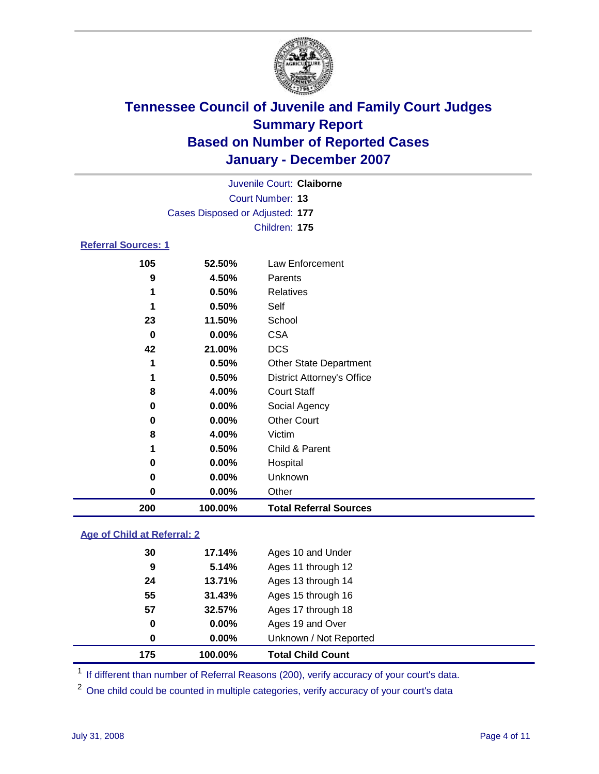

|                     |     |                                 | Juvenile Court: Claiborne |  |
|---------------------|-----|---------------------------------|---------------------------|--|
|                     |     |                                 | <b>Court Number: 13</b>   |  |
|                     |     | Cases Disposed or Adjusted: 177 |                           |  |
|                     |     |                                 | Children: 175             |  |
| Referral Sources: 1 |     |                                 |                           |  |
|                     | 105 | 52.50%                          | Law Enforcement           |  |
|                     | 9   | 4.50%                           | Parents                   |  |
|                     | 1   | 0.50%                           | Relatives                 |  |
|                     |     |                                 |                           |  |

| 200 | 100.00%  | <b>Total Referral Sources</b>     |
|-----|----------|-----------------------------------|
| 0   | 0.00%    | Other                             |
| 0   | 0.00%    | Unknown                           |
| 0   | $0.00\%$ | Hospital                          |
| 1   | 0.50%    | Child & Parent                    |
| 8   | 4.00%    | Victim                            |
| 0   | 0.00%    | <b>Other Court</b>                |
| 0   | $0.00\%$ | Social Agency                     |
| 8   | 4.00%    | <b>Court Staff</b>                |
| 1   | 0.50%    | <b>District Attorney's Office</b> |
| 1   | 0.50%    | <b>Other State Department</b>     |
| 42  | 21.00%   | <b>DCS</b>                        |
| 0   | 0.00%    | <b>CSA</b>                        |
| 23  | 11.50%   | School                            |
|     | 0.50%    | Self                              |
|     | 0.50%    | Relatives                         |
|     | 7.VV /V  | י טויטונט                         |

### **Age of Child at Referral: 2**

| 175 | 100.00%  | <b>Total Child Count</b> |  |
|-----|----------|--------------------------|--|
| 0   | $0.00\%$ | Unknown / Not Reported   |  |
| 0   | $0.00\%$ | Ages 19 and Over         |  |
| 57  | 32.57%   | Ages 17 through 18       |  |
| 55  | 31.43%   | Ages 15 through 16       |  |
| 24  | 13.71%   | Ages 13 through 14       |  |
| 9   | 5.14%    | Ages 11 through 12       |  |
| 30  | 17.14%   | Ages 10 and Under        |  |
|     |          |                          |  |

<sup>1</sup> If different than number of Referral Reasons (200), verify accuracy of your court's data.

One child could be counted in multiple categories, verify accuracy of your court's data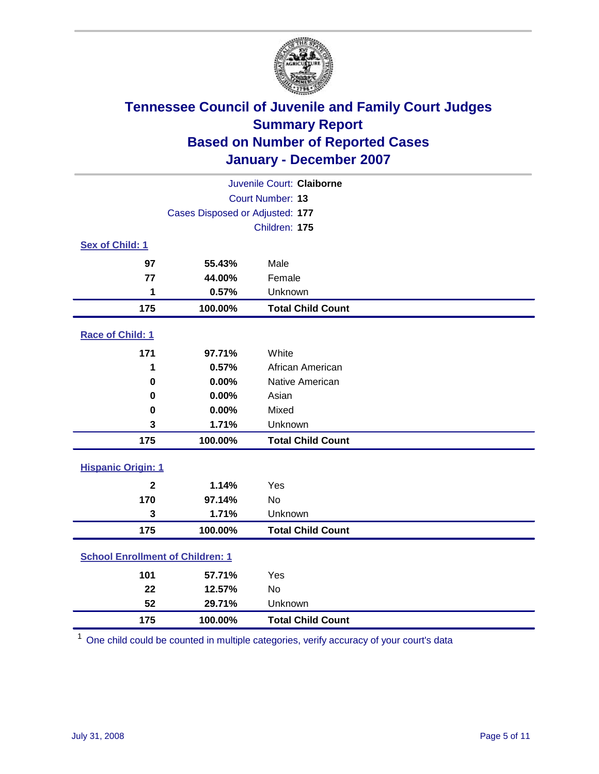

|                                         |               | Juvenile Court: Claiborne |  |  |
|-----------------------------------------|---------------|---------------------------|--|--|
| Court Number: 13                        |               |                           |  |  |
| Cases Disposed or Adjusted: 177         |               |                           |  |  |
|                                         | Children: 175 |                           |  |  |
| Sex of Child: 1                         |               |                           |  |  |
| 97                                      | 55.43%        | Male                      |  |  |
| 77                                      | 44.00%        | Female                    |  |  |
| 1                                       | 0.57%         | Unknown                   |  |  |
| 175                                     | 100.00%       | <b>Total Child Count</b>  |  |  |
| <b>Race of Child: 1</b>                 |               |                           |  |  |
| 171                                     | 97.71%        | White                     |  |  |
| 1                                       | 0.57%         | African American          |  |  |
| $\bf{0}$                                | 0.00%         | Native American           |  |  |
| 0                                       | 0.00%         | Asian                     |  |  |
| 0                                       | 0.00%         | Mixed                     |  |  |
| 3                                       | 1.71%         | Unknown                   |  |  |
| 175                                     | 100.00%       | <b>Total Child Count</b>  |  |  |
| <b>Hispanic Origin: 1</b>               |               |                           |  |  |
| $\overline{\mathbf{2}}$                 | 1.14%         | Yes                       |  |  |
| 170                                     | 97.14%        | <b>No</b>                 |  |  |
| 3                                       | 1.71%         | Unknown                   |  |  |
| 175                                     | 100.00%       | <b>Total Child Count</b>  |  |  |
| <b>School Enrollment of Children: 1</b> |               |                           |  |  |
| 101                                     | 57.71%        | Yes                       |  |  |
| 22                                      | 12.57%        | <b>No</b>                 |  |  |
| 52                                      | 29.71%        | Unknown                   |  |  |
| 175                                     | 100.00%       | <b>Total Child Count</b>  |  |  |

One child could be counted in multiple categories, verify accuracy of your court's data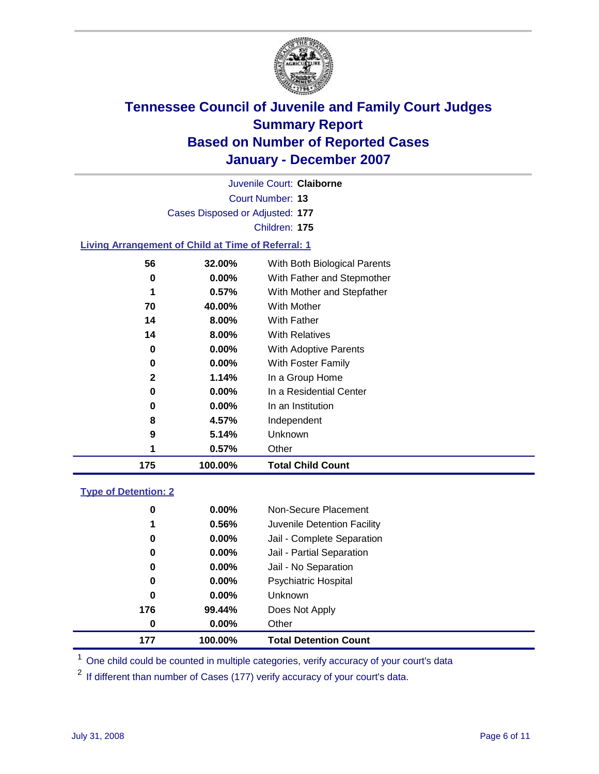

Court Number: **13** Juvenile Court: **Claiborne** Cases Disposed or Adjusted: **177** Children: **175 Living Arrangement of Child at Time of Referral: 1 32.00%** With Both Biological Parents **0.00%** With Father and Stepmother **0.57%** With Mother and Stepfather **40.00%** With Mother **8.00%** With Father **8.00%** With Relatives **0.00%** With Adoptive Parents **0.00%** With Foster Family **1.14%** In a Group Home

| 175 | 100.00%  | <b>Total Child Count</b> |
|-----|----------|--------------------------|
|     | 0.57%    | Other                    |
| 9   | 5.14%    | <b>Unknown</b>           |
| 8   | 4.57%    | Independent              |
| 0   | $0.00\%$ | In an Institution        |
| 0   | $0.00\%$ | In a Residential Center  |
| -   |          | $11.4$ $3.504$ $1.0110$  |

### **Type of Detention: 2**

| 177 | 100.00%  | <b>Total Detention Count</b> |  |
|-----|----------|------------------------------|--|
| 0   | $0.00\%$ | Other                        |  |
| 176 | 99.44%   | Does Not Apply               |  |
| 0   | $0.00\%$ | <b>Unknown</b>               |  |
| 0   | $0.00\%$ | <b>Psychiatric Hospital</b>  |  |
| 0   | 0.00%    | Jail - No Separation         |  |
| 0   | $0.00\%$ | Jail - Partial Separation    |  |
| 0   | 0.00%    | Jail - Complete Separation   |  |
| 1   | 0.56%    | Juvenile Detention Facility  |  |
| 0   | $0.00\%$ | Non-Secure Placement         |  |
|     |          |                              |  |

<sup>1</sup> One child could be counted in multiple categories, verify accuracy of your court's data

<sup>2</sup> If different than number of Cases (177) verify accuracy of your court's data.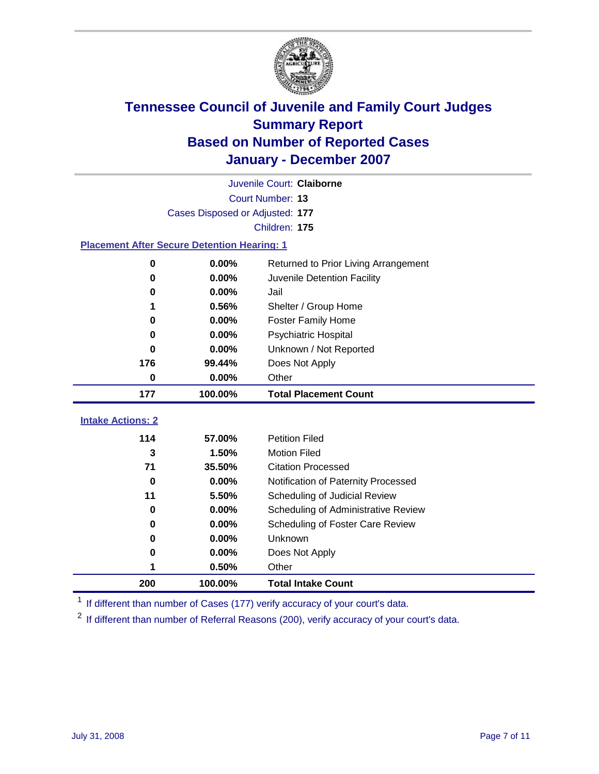

| Juvenile Court: Claiborne                          |         |                                      |  |  |
|----------------------------------------------------|---------|--------------------------------------|--|--|
| Court Number: 13                                   |         |                                      |  |  |
| Cases Disposed or Adjusted: 177                    |         |                                      |  |  |
|                                                    |         | Children: 175                        |  |  |
| <b>Placement After Secure Detention Hearing: 1</b> |         |                                      |  |  |
| 0                                                  | 0.00%   | Returned to Prior Living Arrangement |  |  |
| $\bf{0}$                                           | 0.00%   | Juvenile Detention Facility          |  |  |
| 0                                                  | 0.00%   | Jail                                 |  |  |
| 1                                                  | 0.56%   | Shelter / Group Home                 |  |  |
| 0                                                  | 0.00%   | <b>Foster Family Home</b>            |  |  |
| 0                                                  | 0.00%   | Psychiatric Hospital                 |  |  |
| 0                                                  | 0.00%   | Unknown / Not Reported               |  |  |
| 176                                                | 99.44%  | Does Not Apply                       |  |  |
| $\bf{0}$                                           | 0.00%   | Other                                |  |  |
| 177                                                | 100.00% | <b>Total Placement Count</b>         |  |  |
| <b>Intake Actions: 2</b>                           |         |                                      |  |  |
| 114                                                | 57.00%  | <b>Petition Filed</b>                |  |  |
| 3                                                  | 1.50%   | <b>Motion Filed</b>                  |  |  |
| 71                                                 | 35.50%  | <b>Citation Processed</b>            |  |  |
| $\bf{0}$                                           | 0.00%   | Notification of Paternity Processed  |  |  |
| 11                                                 | 5.50%   | Scheduling of Judicial Review        |  |  |
| $\bf{0}$                                           | 0.00%   | Scheduling of Administrative Review  |  |  |
| 0                                                  | 0.00%   | Scheduling of Foster Care Review     |  |  |
| $\bf{0}$                                           | 0.00%   | Unknown                              |  |  |
| 0                                                  | 0.00%   | Does Not Apply                       |  |  |
| 1                                                  | 0.50%   | Other                                |  |  |
|                                                    |         |                                      |  |  |
| 200                                                | 100.00% | <b>Total Intake Count</b>            |  |  |

<sup>1</sup> If different than number of Cases (177) verify accuracy of your court's data.

<sup>2</sup> If different than number of Referral Reasons (200), verify accuracy of your court's data.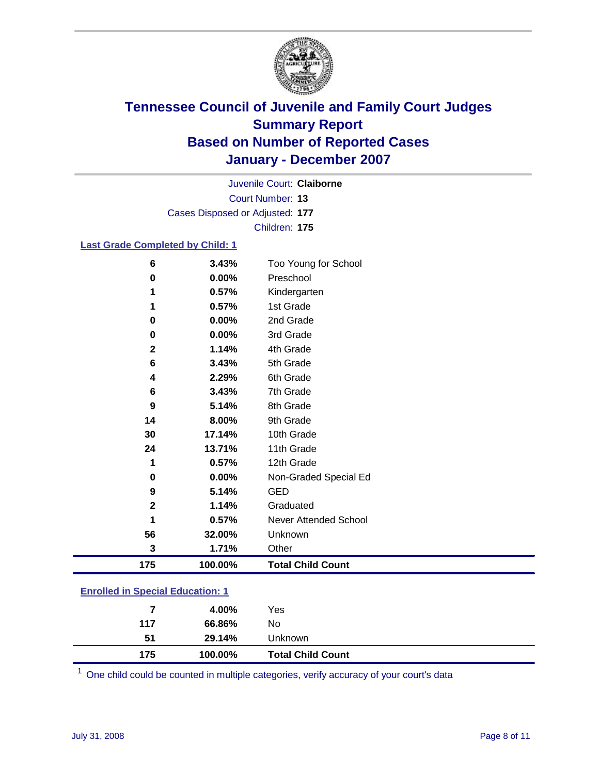

Court Number: **13** Juvenile Court: **Claiborne** Cases Disposed or Adjusted: **177** Children: **175**

### **Last Grade Completed by Child: 1**

| 6            | 3.43%   | Too Young for School     |
|--------------|---------|--------------------------|
| 0            | 0.00%   | Preschool                |
| 1            | 0.57%   | Kindergarten             |
|              | 0.57%   | 1st Grade                |
| 0            | 0.00%   | 2nd Grade                |
| 0            | 0.00%   | 3rd Grade                |
| $\mathbf 2$  | 1.14%   | 4th Grade                |
| 6            | 3.43%   | 5th Grade                |
| 4            | 2.29%   | 6th Grade                |
| 6            | 3.43%   | 7th Grade                |
| 9            | 5.14%   | 8th Grade                |
| 14           | 8.00%   | 9th Grade                |
| 30           | 17.14%  | 10th Grade               |
| 24           | 13.71%  | 11th Grade               |
| 1            | 0.57%   | 12th Grade               |
| 0            | 0.00%   | Non-Graded Special Ed    |
| 9            | 5.14%   | <b>GED</b>               |
| $\mathbf{2}$ | 1.14%   | Graduated                |
| 1            | 0.57%   | Never Attended School    |
| 56           | 32.00%  | Unknown                  |
| 3            | 1.71%   | Other                    |
| 175          | 100.00% | <b>Total Child Count</b> |

### **Enrolled in Special Education: 1**

| 51<br>175 | 29.14%<br>100.00% | Unknown<br><b>Total Child Count</b> |  |
|-----------|-------------------|-------------------------------------|--|
| 117       | 66.86%            | No                                  |  |
|           | 4.00%             | Yes                                 |  |

<sup>1</sup> One child could be counted in multiple categories, verify accuracy of your court's data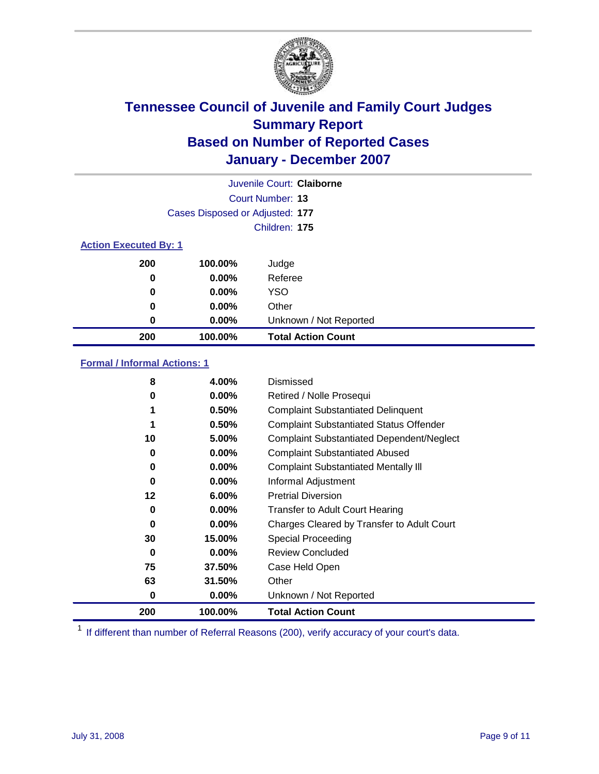

|                              |                                 | Juvenile Court: Claiborne |
|------------------------------|---------------------------------|---------------------------|
|                              |                                 | Court Number: 13          |
|                              | Cases Disposed or Adjusted: 177 |                           |
|                              |                                 | Children: 175             |
| <b>Action Executed By: 1</b> |                                 |                           |
| 200                          | 100.00%                         | Judge                     |
| 0                            | $0.00\%$                        | Referee                   |
| 0                            | $0.00\%$                        | <b>YSO</b>                |
| 0                            | $0.00\%$                        | Other                     |
| 0                            | 0.00%                           | Unknown / Not Reported    |
| 200                          | 100.00%                         | <b>Total Action Count</b> |

### **Formal / Informal Actions: 1**

| 8       | 4.00%    | Dismissed                                        |
|---------|----------|--------------------------------------------------|
| 0       | $0.00\%$ | Retired / Nolle Prosequi                         |
|         | 0.50%    | <b>Complaint Substantiated Delinquent</b>        |
|         | 0.50%    | <b>Complaint Substantiated Status Offender</b>   |
| 10      | 5.00%    | <b>Complaint Substantiated Dependent/Neglect</b> |
| 0       | $0.00\%$ | <b>Complaint Substantiated Abused</b>            |
| 0       | $0.00\%$ | <b>Complaint Substantiated Mentally III</b>      |
| 0       | $0.00\%$ | Informal Adjustment                              |
| $12 \,$ | $6.00\%$ | <b>Pretrial Diversion</b>                        |
| 0       | $0.00\%$ | <b>Transfer to Adult Court Hearing</b>           |
| 0       | $0.00\%$ | Charges Cleared by Transfer to Adult Court       |
| 30      | 15.00%   | Special Proceeding                               |
| 0       | $0.00\%$ | <b>Review Concluded</b>                          |
| 75      | 37.50%   | Case Held Open                                   |
| 63      | 31.50%   | Other                                            |
| 0       | 0.00%    | Unknown / Not Reported                           |
| 200     | 100.00%  | <b>Total Action Count</b>                        |

<sup>1</sup> If different than number of Referral Reasons (200), verify accuracy of your court's data.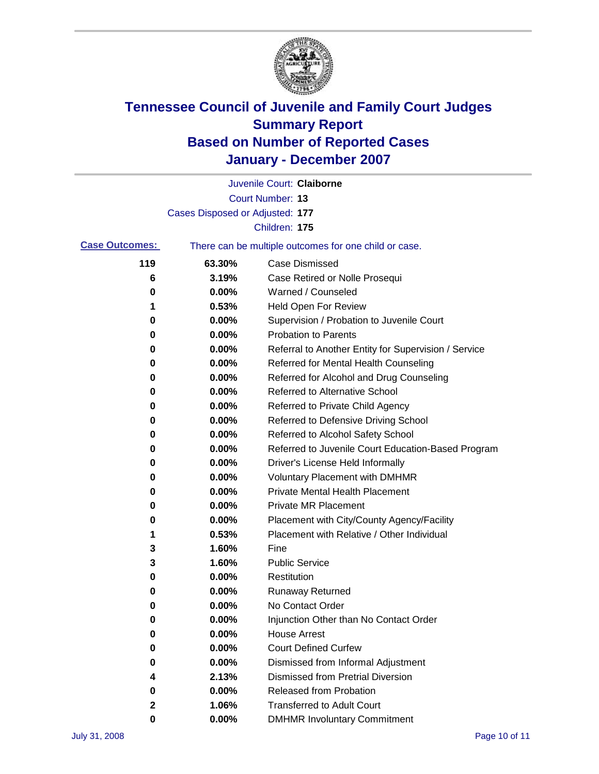

|                       |                                 | Juvenile Court: Claiborne                             |
|-----------------------|---------------------------------|-------------------------------------------------------|
|                       |                                 | Court Number: 13                                      |
|                       | Cases Disposed or Adjusted: 177 |                                                       |
|                       |                                 | Children: 175                                         |
| <b>Case Outcomes:</b> |                                 | There can be multiple outcomes for one child or case. |
| 119                   | 63.30%                          | <b>Case Dismissed</b>                                 |
| 6                     | 3.19%                           | Case Retired or Nolle Prosequi                        |
| 0                     | 0.00%                           | Warned / Counseled                                    |
| 1                     | 0.53%                           | <b>Held Open For Review</b>                           |
| 0                     | 0.00%                           | Supervision / Probation to Juvenile Court             |
| 0                     | 0.00%                           | <b>Probation to Parents</b>                           |
| 0                     | 0.00%                           | Referral to Another Entity for Supervision / Service  |
| 0                     | 0.00%                           | Referred for Mental Health Counseling                 |
| 0                     | 0.00%                           | Referred for Alcohol and Drug Counseling              |
| 0                     | 0.00%                           | Referred to Alternative School                        |
| 0                     | 0.00%                           | Referred to Private Child Agency                      |
| 0                     | 0.00%                           | Referred to Defensive Driving School                  |
| 0                     | 0.00%                           | Referred to Alcohol Safety School                     |
| 0                     | 0.00%                           | Referred to Juvenile Court Education-Based Program    |
| 0                     | 0.00%                           | Driver's License Held Informally                      |
| 0                     | 0.00%                           | <b>Voluntary Placement with DMHMR</b>                 |
| 0                     | 0.00%                           | <b>Private Mental Health Placement</b>                |
| 0                     | 0.00%                           | <b>Private MR Placement</b>                           |
| 0                     | 0.00%                           | Placement with City/County Agency/Facility            |
| 1                     | 0.53%                           | Placement with Relative / Other Individual            |
| 3                     | 1.60%                           | Fine                                                  |
| 3                     | 1.60%                           | <b>Public Service</b>                                 |
| 0                     | 0.00%                           | Restitution                                           |
| 0                     | 0.00%                           | <b>Runaway Returned</b>                               |
| 0                     | 0.00%                           | No Contact Order                                      |
| 0                     | 0.00%                           | Injunction Other than No Contact Order                |
| 0                     | 0.00%                           | <b>House Arrest</b>                                   |
| 0                     | 0.00%                           | <b>Court Defined Curfew</b>                           |
| 0                     | 0.00%                           | Dismissed from Informal Adjustment                    |
| 4                     | 2.13%                           | <b>Dismissed from Pretrial Diversion</b>              |
| 0                     | 0.00%                           | Released from Probation                               |
| 2                     | 1.06%                           | <b>Transferred to Adult Court</b>                     |
| 0                     | 0.00%                           | <b>DMHMR Involuntary Commitment</b>                   |